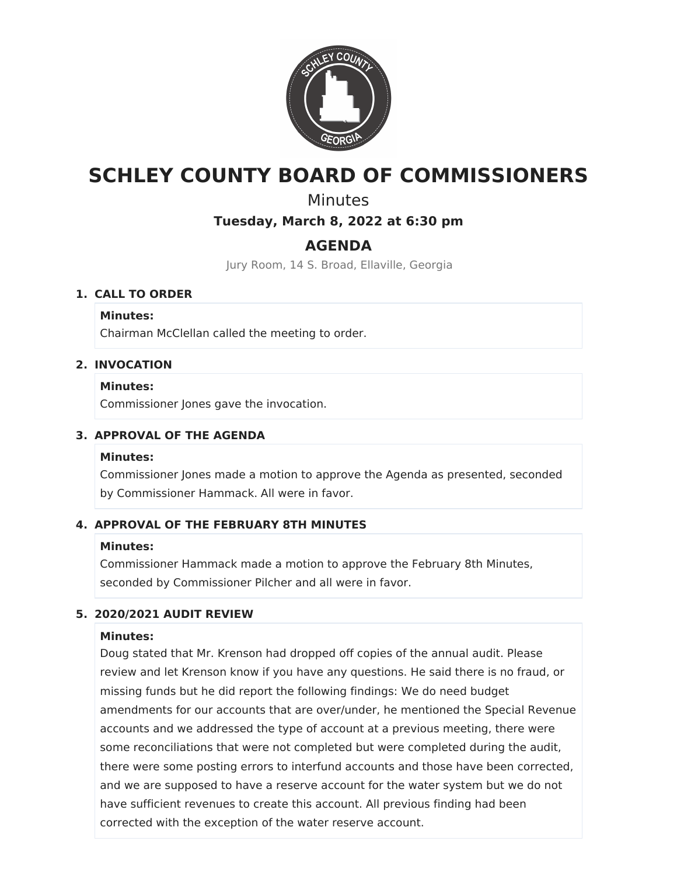

# **SCHLEY COUNTY BOARD OF COMMISSIONERS**

## **Minutes**

## **Tuesday, March 8, 2022 at 6:30 pm**

## **AGENDA**

Jury Room, 14 S. Broad, Ellaville, Georgia

## **1. CALL TO ORDER**

### **Minutes:**

Chairman McClellan called the meeting to order.

## **2. INVOCATION**

### **Minutes:**

Commissioner Jones gave the invocation.

## **3. APPROVAL OF THE AGENDA**

#### **Minutes:**

Commissioner Jones made a motion to approve the Agenda as presented, seconded by Commissioner Hammack. All were in favor.

## **4. APPROVAL OF THE FEBRUARY 8TH MINUTES**

## **Minutes:**

Commissioner Hammack made a motion to approve the February 8th Minutes, seconded by Commissioner Pilcher and all were in favor.

## **5. 2020/2021 AUDIT REVIEW**

## **Minutes:**

Doug stated that Mr. Krenson had dropped off copies of the annual audit. Please review and let Krenson know if you have any questions. He said there is no fraud, or missing funds but he did report the following findings: We do need budget amendments for our accounts that are over/under, he mentioned the Special Revenue accounts and we addressed the type of account at a previous meeting, there were some reconciliations that were not completed but were completed during the audit, there were some posting errors to interfund accounts and those have been corrected, and we are supposed to have a reserve account for the water system but we do not have sufficient revenues to create this account. All previous finding had been corrected with the exception of the water reserve account.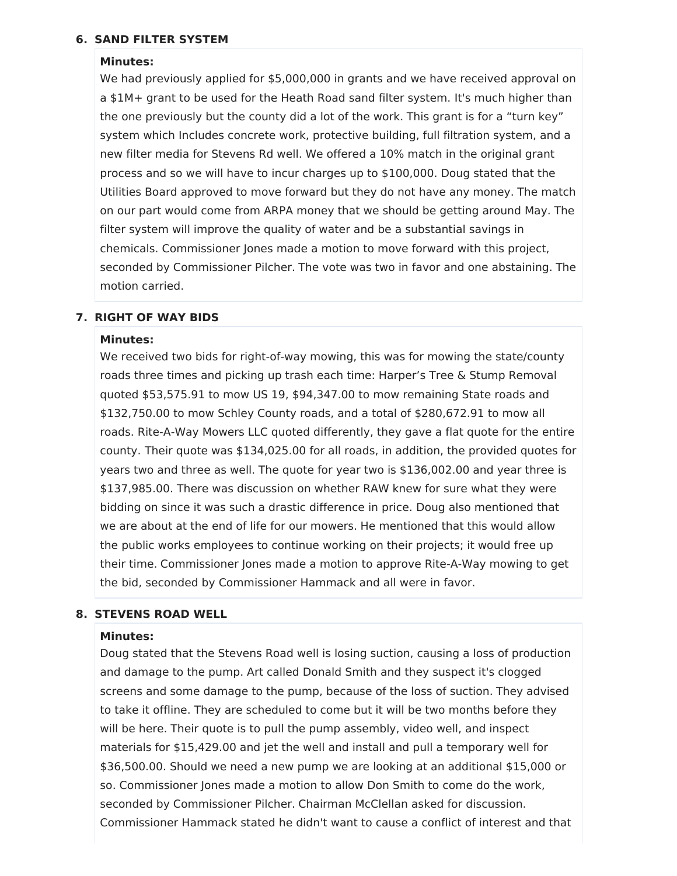## **6. SAND FILTER SYSTEM**

#### **Minutes:**

We had previously applied for \$5,000,000 in grants and we have received approval on a \$1M+ grant to be used for the Heath Road sand filter system. It's much higher than the one previously but the county did a lot of the work. This grant is for a "turn key" system which Includes concrete work, protective building, full filtration system, and a new filter media for Stevens Rd well. We offered a 10% match in the original grant process and so we will have to incur charges up to \$100,000. Doug stated that the Utilities Board approved to move forward but they do not have any money. The match on our part would come from ARPA money that we should be getting around May. The filter system will improve the quality of water and be a substantial savings in chemicals. Commissioner Jones made a motion to move forward with this project, seconded by Commissioner Pilcher. The vote was two in favor and one abstaining. The motion carried.

#### **7. RIGHT OF WAY BIDS**

#### **Minutes:**

We received two bids for right-of-way mowing, this was for mowing the state/county roads three times and picking up trash each time: Harper's Tree & Stump Removal quoted \$53,575.91 to mow US 19, \$94,347.00 to mow remaining State roads and \$132,750.00 to mow Schley County roads, and a total of \$280,672.91 to mow all roads. Rite-A-Way Mowers LLC quoted differently, they gave a flat quote for the entire county. Their quote was \$134,025.00 for all roads, in addition, the provided quotes for years two and three as well. The quote for year two is \$136,002.00 and year three is \$137,985.00. There was discussion on whether RAW knew for sure what they were bidding on since it was such a drastic difference in price. Doug also mentioned that we are about at the end of life for our mowers. He mentioned that this would allow the public works employees to continue working on their projects; it would free up their time. Commissioner Jones made a motion to approve Rite-A-Way mowing to get the bid, seconded by Commissioner Hammack and all were in favor.

#### **8. STEVENS ROAD WELL**

#### **Minutes:**

Doug stated that the Stevens Road well is losing suction, causing a loss of production and damage to the pump. Art called Donald Smith and they suspect it's clogged screens and some damage to the pump, because of the loss of suction. They advised to take it offline. They are scheduled to come but it will be two months before they will be here. Their quote is to pull the pump assembly, video well, and inspect materials for \$15,429.00 and jet the well and install and pull a temporary well for \$36,500.00. Should we need a new pump we are looking at an additional \$15,000 or so. Commissioner Jones made a motion to allow Don Smith to come do the work, seconded by Commissioner Pilcher. Chairman McClellan asked for discussion. Commissioner Hammack stated he didn't want to cause a conflict of interest and that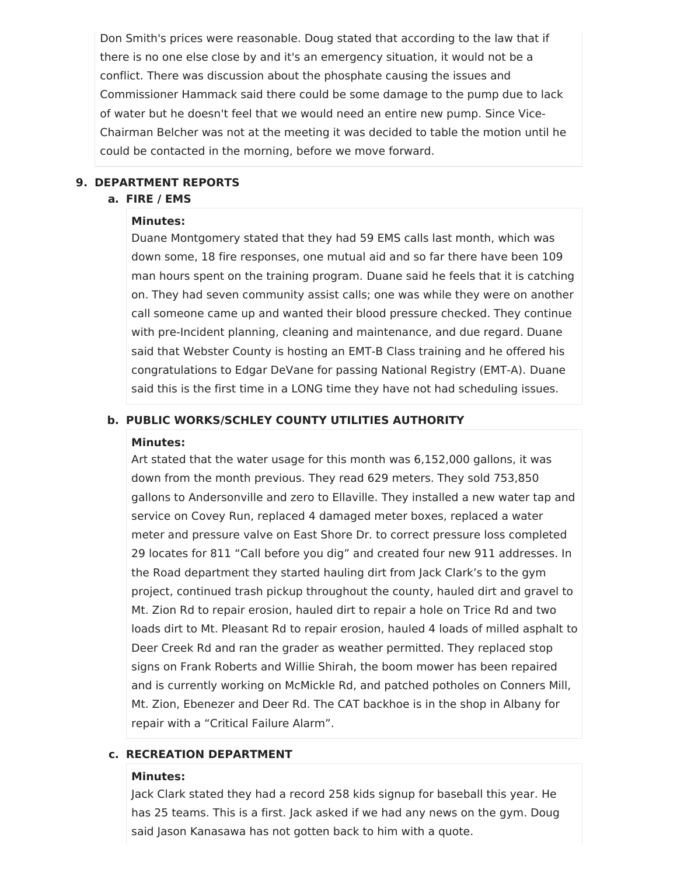Don Smith's prices were reasonable. Doug stated that according to the law that if there is no one else close by and it's an emergency situation, it would not be a conflict. There was discussion about the phosphate causing the issues and Commissioner Hammack said there could be some damage to the pump due to lack of water but he doesn't feel that we would need an entire new pump. Since Vice-Chairman Belcher was not at the meeting it was decided to table the motion until he could be contacted in the morning, before we move forward.

#### **9. DEPARTMENT REPORTS**

#### **a. FIRE / EMS**

#### **Minutes:**

Duane Montgomery stated that they had 59 EMS calls last month, which was down some, 18 fire responses, one mutual aid and so far there have been 109 man hours spent on the training program. Duane said he feels that it is catching on. They had seven community assist calls; one was while they were on another call someone came up and wanted their blood pressure checked. They continue with pre-Incident planning, cleaning and maintenance, and due regard. Duane said that Webster County is hosting an EMT-B Class training and he offered his congratulations to Edgar DeVane for passing National Registry (EMT-A). Duane said this is the first time in a LONG time they have not had scheduling issues.

#### **b. PUBLIC WORKS/SCHLEY COUNTY UTILITIES AUTHORITY**

#### **Minutes:**

Art stated that the water usage for this month was 6,152,000 gallons, it was down from the month previous. They read 629 meters. They sold 753,850 gallons to Andersonville and zero to Ellaville. They installed a new water tap and service on Covey Run, replaced 4 damaged meter boxes, replaced a water meter and pressure valve on East Shore Dr. to correct pressure loss completed 29 locates for 811 "Call before you dig" and created four new 911 addresses. In the Road department they started hauling dirt from Jack Clark's to the gym project, continued trash pickup throughout the county, hauled dirt and gravel to Mt. Zion Rd to repair erosion, hauled dirt to repair a hole on Trice Rd and two loads dirt to Mt. Pleasant Rd to repair erosion, hauled 4 loads of milled asphalt to Deer Creek Rd and ran the grader as weather permitted. They replaced stop signs on Frank Roberts and Willie Shirah, the boom mower has been repaired and is currently working on McMickle Rd, and patched potholes on Conners Mill, Mt. Zion, Ebenezer and Deer Rd. The CAT backhoe is in the shop in Albany for repair with a "Critical Failure Alarm".

## **c. RECREATION DEPARTMENT**

#### **Minutes:**

Jack Clark stated they had a record 258 kids signup for baseball this year. He has 25 teams. This is a first. Jack asked if we had any news on the gym. Doug said Jason Kanasawa has not gotten back to him with a quote.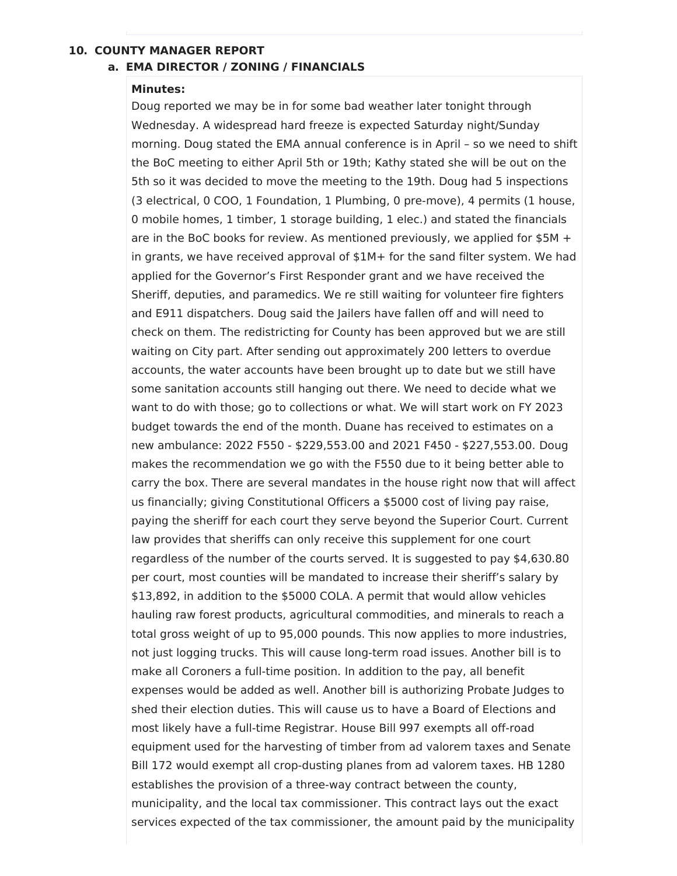#### **10. COUNTY MANAGER REPORT**

#### **a. EMA DIRECTOR / ZONING / FINANCIALS**

#### **Minutes:**

Doug reported we may be in for some bad weather later tonight through Wednesday. A widespread hard freeze is expected Saturday night/Sunday morning. Doug stated the EMA annual conference is in April – so we need to shift the BoC meeting to either April 5th or 19th; Kathy stated she will be out on the 5th so it was decided to move the meeting to the 19th. Doug had 5 inspections (3 electrical, 0 COO, 1 Foundation, 1 Plumbing, 0 pre-move), 4 permits (1 house, 0 mobile homes, 1 timber, 1 storage building, 1 elec.) and stated the financials are in the BoC books for review. As mentioned previously, we applied for  $$5M +$ in grants, we have received approval of \$1M+ for the sand filter system. We had applied for the Governor's First Responder grant and we have received the Sheriff, deputies, and paramedics. We re still waiting for volunteer fire fighters and E911 dispatchers. Doug said the Jailers have fallen off and will need to check on them. The redistricting for County has been approved but we are still waiting on City part. After sending out approximately 200 letters to overdue accounts, the water accounts have been brought up to date but we still have some sanitation accounts still hanging out there. We need to decide what we want to do with those; go to collections or what. We will start work on FY 2023 budget towards the end of the month. Duane has received to estimates on a new ambulance: 2022 F550 - \$229,553.00 and 2021 F450 - \$227,553.00. Doug makes the recommendation we go with the F550 due to it being better able to carry the box. There are several mandates in the house right now that will affect us financially; giving Constitutional Officers a \$5000 cost of living pay raise, paying the sheriff for each court they serve beyond the Superior Court. Current law provides that sheriffs can only receive this supplement for one court regardless of the number of the courts served. It is suggested to pay \$4,630.80 per court, most counties will be mandated to increase their sheriff's salary by \$13,892, in addition to the \$5000 COLA. A permit that would allow vehicles hauling raw forest products, agricultural commodities, and minerals to reach a total gross weight of up to 95,000 pounds. This now applies to more industries, not just logging trucks. This will cause long-term road issues. Another bill is to make all Coroners a full-time position. In addition to the pay, all benefit expenses would be added as well. Another bill is authorizing Probate Judges to shed their election duties. This will cause us to have a Board of Elections and most likely have a full-time Registrar. House Bill 997 exempts all off-road equipment used for the harvesting of timber from ad valorem taxes and Senate Bill 172 would exempt all crop-dusting planes from ad valorem taxes. HB 1280 establishes the provision of a three-way contract between the county, municipality, and the local tax commissioner. This contract lays out the exact services expected of the tax commissioner, the amount paid by the municipality